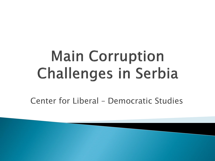# **Main Corruption Challenges in Serbia**

Center for Liberal – Democratic Studies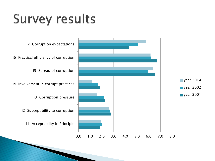## **Survey results**

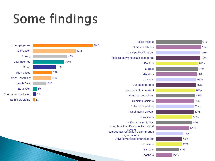# Some findings

![](_page_2_Figure_1.jpeg)

| Police officers                                     | 75% |
|-----------------------------------------------------|-----|
| <b>Customs officers</b>                             | 73% |
| <b>Local political leaders</b>                      | 72% |
| Political party and coalition leaders               | 72% |
| <b>Doctors</b>                                      | 69% |
| <b>Judges</b>                                       | 68% |
| <b>Ministers</b>                                    | 66% |
| Lawyers                                             | 66% |
| <b>Business people</b>                              | 65% |
| Members of parliament                               | 64% |
| <b>Municipal councilors</b>                         | 63% |
| <b>Municipal officials</b>                          | 61% |
| <b>Public prosecutors</b>                           | 61% |
| Investigating officers                              | 61% |
| <b>Tax officials</b>                                | 59% |
| Officials at ministries                             | 58% |
| Administration officials in the judicial            | 54% |
| system<br>Representatives of non-governmental       | 44% |
| organizations<br>University officials or professors | 43% |
| <b>Journalists</b>                                  | 42% |
| <b>Bankers</b>                                      | 37% |
| <b>Teachers</b>                                     | 27% |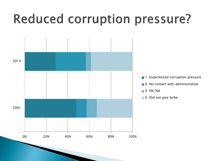#### **Reduced corruption pressure?**

![](_page_3_Figure_1.jpeg)

- **Experienced corruption pressure**
- 8 No contact with administration
- 9 DK/NA
- 0 Did not give bribe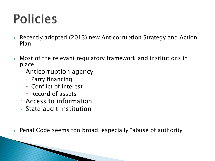### **Policies**

- ▶ Recently adopted (2013) new Anticorruption Strategy and Action Plan
- Most of the relevant regulatory framework and institutions in place
	- Anticorruption agency
		- Party financing
		- Conflict of interest
		- Record of assets
	- Access to information
	- State audit institution
- Penal Code seems too broad, especially "abuse of authority"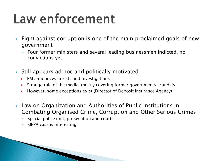### Law enforcement

- **Fight against corruption is one of the main proclaimed goals of new** government
	- Four former ministers and several leading businessmen indicted, no convictions yet
- Still appears ad hoc and politically motivated
	- ▶ PM announces arrests and investigations
	- Strange role of the media, mostly covering former governments scandals
	- $\rightarrow$  However, some exceptions exist (Director of Deposit Insurance Agency)
- Law on Organization and Authorities of Public Institutions in Combating Organised Crime, Corruption and Other Serious Crimes
	- Special police unit, prosecution and courts
	- SIEPA case is interesting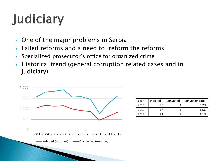# Judiciary

- $\triangleright$  One of the major problems in Serbia
- Failed reforms and a need to "reform the reforms"
- Specialized prosecutor's office for organized crime
- Historical trend (general corruption related cases and in judiciary)

![](_page_6_Figure_5.jpeg)

| Year | Indicted | Convicted | Conviction rate |
|------|----------|-----------|-----------------|
| 2010 | 30       |           | 6.7%            |
| 2011 |          |           | 1.5%            |
| 2012 | 91       |           | 1 1%            |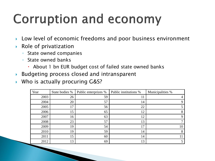### **Corruption and economy**

- ▶ Low level of economic freedoms and poor business environment
- $\triangleright$  Role of privatization
	- State owned companies
	- State owned banks
		- About 1 bn EUR budget cost of failed state owned banks
- Budgeting process closed and intransparent
- ▶ Who is actually procuring G&S?

| Year | State bodies % | Public enterprizes % | Public institutions % | Municipalities % |
|------|----------------|----------------------|-----------------------|------------------|
| 2003 | 26             | 59                   | 11                    | 4                |
| 2004 | 20             | 57                   | 14                    | Q                |
| 2005 | 17             | 56                   | 22                    |                  |
| 2006 | 15             | 65                   | 12                    | 8                |
| 2007 | 16             | 63                   | 12                    | 9                |
| 2008 | 23             | 57                   | 13                    |                  |
| 2009 | 19             | 54                   | 17                    | 10               |
| 2010 | 19             | 59                   | 14                    | 8                |
| 2011 | 15             | 60                   | 14                    |                  |
| 2012 | 13             | 69                   | 13                    |                  |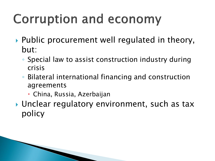## **Corruption and economy**

- ▶ Public procurement well regulated in theory, but:
	- Special law to assist construction industry during crisis
	- Bilateral international financing and construction agreements
		- China, Russia, Azerbaijan
- ▶ Unclear regulatory environment, such as tax policy